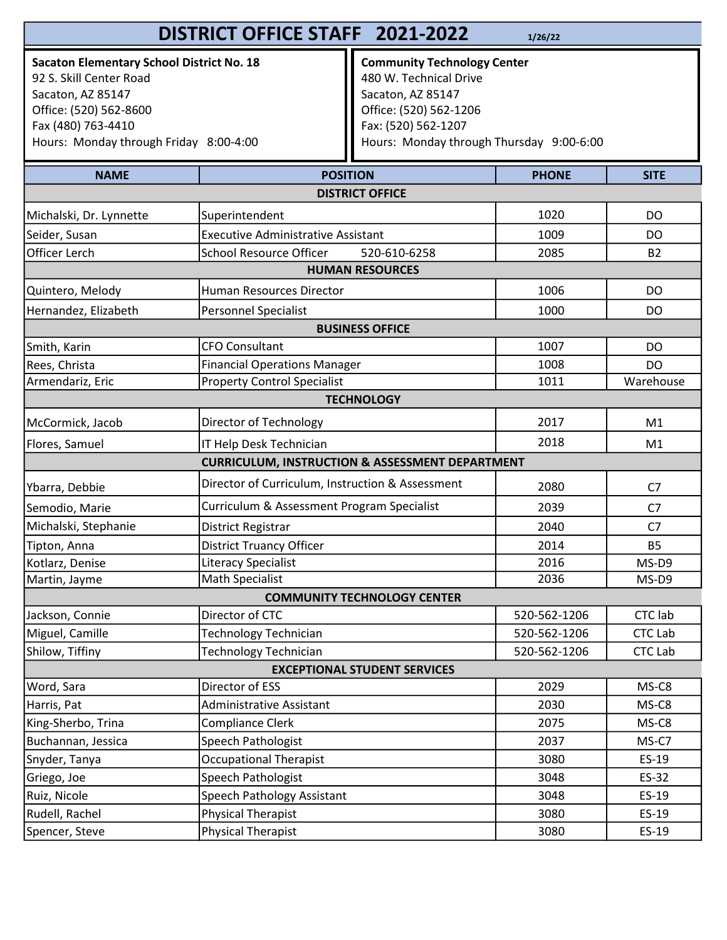## **DISTRICT OFFICE STAFF 2021-2022** 1/26/22

Sacaton Elementary School District No. 18<br>
92 S. Skill Center Road<br>
192 S. Skill Center Road<br>
193 - Alexander Andrew Marshall Alexander Andrew Marshall Alexander Alexander Alexander Alexander Alexander Alexander Alexander 92 S. Skill Center Road Sacaton, AZ 85147 Office: (520) 562-8600 Fax (480) 763-4410 Hours: Monday through Friday 8:00-4:00

Community Technology Center **2021-2022** 1/26/22<br> **Community Technology Center**<br>
480 W. Technical Drive<br>
Sacaton, AZ 85147<br>
Office: (520) 562-1206<br>
Fax: (520) 562-1207<br>
Hours: Monday through Thursday 9:00-6:00 Sacaton, AZ 85147 Office: (520) 562-1206 Fax: (520) 562-1207 Hours: Monday through Thursday 9:00-6:00

| <b>NAME</b>                         | <b>POSITION</b>                                            | <b>PHONE</b> | <b>SITE</b>    |  |  |
|-------------------------------------|------------------------------------------------------------|--------------|----------------|--|--|
|                                     | <b>DISTRICT OFFICE</b>                                     |              |                |  |  |
| Michalski, Dr. Lynnette             | Superintendent                                             | 1020         | DO             |  |  |
| Seider, Susan                       | <b>Executive Administrative Assistant</b>                  | 1009         | <b>DO</b>      |  |  |
| Officer Lerch                       | <b>School Resource Officer</b><br>520-610-6258             | 2085         | <b>B2</b>      |  |  |
| <b>HUMAN RESOURCES</b>              |                                                            |              |                |  |  |
| Quintero, Melody                    | Human Resources Director                                   | 1006         | <b>DO</b>      |  |  |
| Hernandez, Elizabeth                | Personnel Specialist                                       | 1000         | DO             |  |  |
| <b>BUSINESS OFFICE</b>              |                                                            |              |                |  |  |
| Smith, Karin                        | <b>CFO Consultant</b>                                      | 1007         | DO             |  |  |
| Rees, Christa                       | <b>Financial Operations Manager</b>                        | 1008         | DO             |  |  |
| Armendariz, Eric                    | <b>Property Control Specialist</b>                         | 1011         | Warehouse      |  |  |
|                                     | <b>TECHNOLOGY</b>                                          |              |                |  |  |
| McCormick, Jacob                    | Director of Technology                                     | 2017         | M1             |  |  |
| Flores, Samuel                      | IT Help Desk Technician                                    | 2018         | M <sub>1</sub> |  |  |
|                                     | <b>CURRICULUM, INSTRUCTION &amp; ASSESSMENT DEPARTMENT</b> |              |                |  |  |
| Ybarra, Debbie                      | Director of Curriculum, Instruction & Assessment           | 2080         | C <sub>7</sub> |  |  |
| Semodio, Marie                      | Curriculum & Assessment Program Specialist                 | 2039         | C <sub>7</sub> |  |  |
| Michalski, Stephanie                | District Registrar                                         | 2040         | C7             |  |  |
| Tipton, Anna                        | <b>District Truancy Officer</b>                            | 2014         | <b>B5</b>      |  |  |
| Kotlarz, Denise                     | <b>Literacy Specialist</b>                                 | 2016         | MS-D9          |  |  |
| Martin, Jayme                       | <b>Math Specialist</b>                                     | 2036         | MS-D9          |  |  |
|                                     | <b>COMMUNITY TECHNOLOGY CENTER</b>                         |              |                |  |  |
| Jackson, Connie                     | Director of CTC                                            | 520-562-1206 | <b>CTC</b> lab |  |  |
| Miguel, Camille                     | <b>Technology Technician</b>                               | 520-562-1206 | <b>CTC Lab</b> |  |  |
| Shilow, Tiffiny                     | Technology Technician                                      | 520-562-1206 | <b>CTC Lab</b> |  |  |
| <b>EXCEPTIONAL STUDENT SERVICES</b> |                                                            |              |                |  |  |
| Word, Sara                          | Director of ESS                                            | 2029         | MS-C8          |  |  |
| Harris, Pat                         | Administrative Assistant                                   | 2030         | MS-C8          |  |  |
| King-Sherbo, Trina                  | Compliance Clerk                                           | 2075         | MS-C8          |  |  |
| Buchannan, Jessica                  | Speech Pathologist                                         | 2037         | MS-C7          |  |  |
| Snyder, Tanya                       | <b>Occupational Therapist</b>                              | 3080         | ES-19          |  |  |
| Griego, Joe                         | Speech Pathologist                                         | 3048         | ES-32          |  |  |
| Ruiz, Nicole                        | Speech Pathology Assistant                                 | 3048         | ES-19          |  |  |
| Rudell, Rachel                      | <b>Physical Therapist</b>                                  | 3080         | ES-19          |  |  |
| Spencer, Steve                      | Physical Therapist                                         | 3080         | ES-19          |  |  |